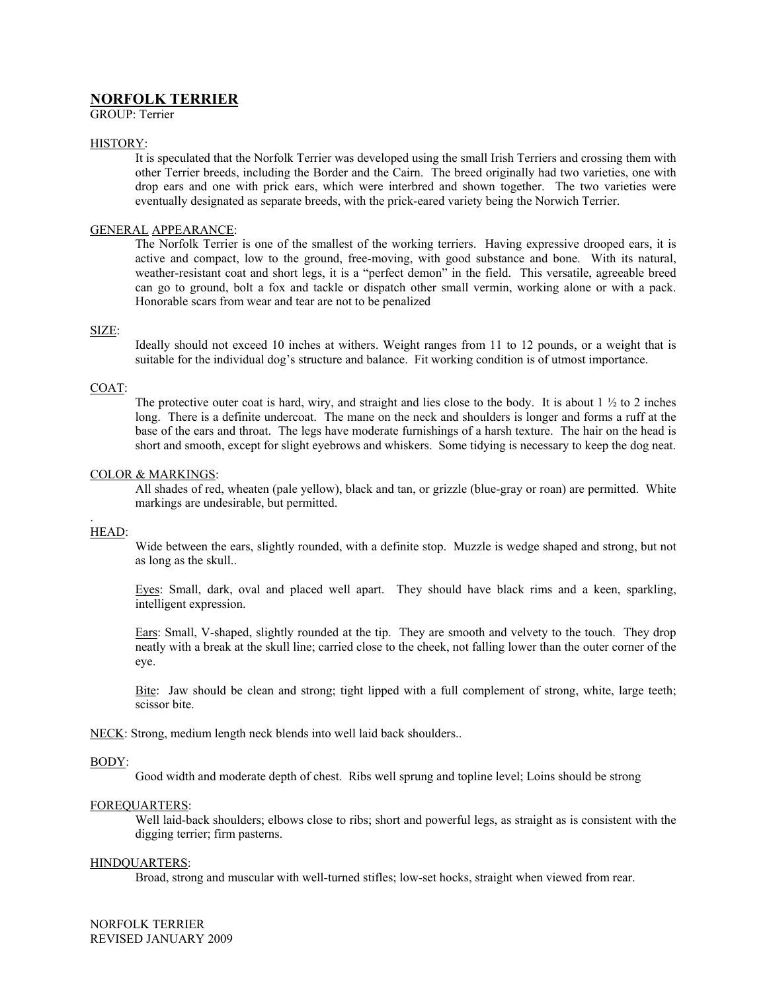# **NORFOLK TERRIER**

GROUP: Terrier

# HISTORY:

It is speculated that the Norfolk Terrier was developed using the small Irish Terriers and crossing them with other Terrier breeds, including the Border and the Cairn. The breed originally had two varieties, one with drop ears and one with prick ears, which were interbred and shown together. The two varieties were eventually designated as separate breeds, with the prick-eared variety being the Norwich Terrier.

# GENERAL APPEARANCE:

The Norfolk Terrier is one of the smallest of the working terriers. Having expressive drooped ears, it is active and compact, low to the ground, free-moving, with good substance and bone. With its natural, weather-resistant coat and short legs, it is a "perfect demon" in the field. This versatile, agreeable breed can go to ground, bolt a fox and tackle or dispatch other small vermin, working alone or with a pack. Honorable scars from wear and tear are not to be penalized

# SIZE:

Ideally should not exceed 10 inches at withers. Weight ranges from 11 to 12 pounds, or a weight that is suitable for the individual dog's structure and balance. Fit working condition is of utmost importance.

# COAT:

The protective outer coat is hard, wiry, and straight and lies close to the body. It is about  $1 \frac{1}{2}$  to 2 inches long. There is a definite undercoat. The mane on the neck and shoulders is longer and forms a ruff at the base of the ears and throat. The legs have moderate furnishings of a harsh texture. The hair on the head is short and smooth, except for slight eyebrows and whiskers. Some tidying is necessary to keep the dog neat.

# COLOR & MARKINGS:

All shades of red, wheaten (pale yellow), black and tan, or grizzle (blue-gray or roan) are permitted. White markings are undesirable, but permitted.

#### . HEAD:

Wide between the ears, slightly rounded, with a definite stop. Muzzle is wedge shaped and strong, but not as long as the skull..

Eyes: Small, dark, oval and placed well apart. They should have black rims and a keen, sparkling, intelligent expression.

Ears: Small, V-shaped, slightly rounded at the tip. They are smooth and velvety to the touch. They drop neatly with a break at the skull line; carried close to the cheek, not falling lower than the outer corner of the eye.

Bite: Jaw should be clean and strong; tight lipped with a full complement of strong, white, large teeth; scissor bite.

NECK: Strong, medium length neck blends into well laid back shoulders..

# BODY:

Good width and moderate depth of chest. Ribs well sprung and topline level; Loins should be strong

# FOREQUARTERS:

Well laid-back shoulders; elbows close to ribs; short and powerful legs, as straight as is consistent with the digging terrier; firm pasterns.

# HINDQUARTERS:

Broad, strong and muscular with well-turned stifles; low-set hocks, straight when viewed from rear.

NORFOLK TERRIER REVISED JANUARY 2009